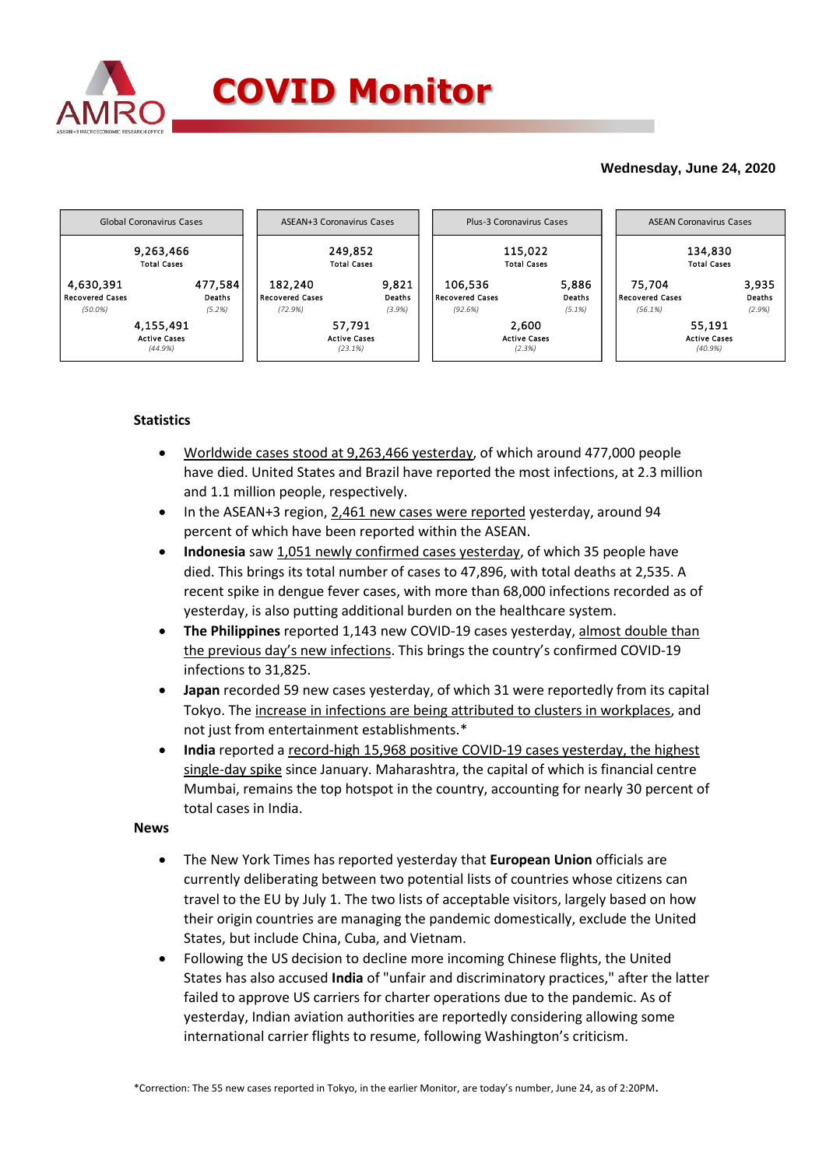

## **Wednesday, June 24, 2020**



## **Statistics**

- Worldwide cases stood at 9,263,466 yesterday, of which around 477,000 people have died. United States and Brazil have reported the most infections, at 2.3 million and 1.1 million people, respectively.
- In the ASEAN+3 region, 2,461 new cases were reported yesterday, around 94 percent of which have been reported within the ASEAN.
- **Indonesia** saw 1,051 newly confirmed cases yesterday, of which 35 people have died. This brings its total number of cases to 47,896, with total deaths at 2,535. A recent spike in dengue fever cases, with more than 68,000 infections recorded as of yesterday, is also putting additional burden on the healthcare system.
- **The Philippines** reported 1,143 new COVID-19 cases yesterday, almost double than the previous day's new infections. This brings the country's confirmed COVID-19 infections to 31,825.
- **Japan** recorded 59 new cases yesterday, of which 31 were reportedly from its capital Tokyo. The increase in infections are being attributed to clusters in workplaces, and not just from entertainment establishments.\*
- **India** reported a record-high 15,968 positive COVID-19 cases yesterday, the highest single-day spike since January. Maharashtra, the capital of which is financial centre Mumbai, remains the top hotspot in the country, accounting for nearly 30 percent of total cases in India.

## **News**

- The New York Times has reported yesterday that **European Union** officials are currently deliberating between two potential lists of countries whose citizens can travel to the EU by July 1. The two lists of acceptable visitors, largely based on how their origin countries are managing the pandemic domestically, exclude the United States, but include China, Cuba, and Vietnam.
- Following the US decision to decline more incoming Chinese flights, the United States has also accused **India** of "unfair and discriminatory practices," after the latter failed to approve US carriers for charter operations due to the pandemic. As of yesterday, Indian aviation authorities are reportedly considering allowing some international carrier flights to resume, following Washington's criticism.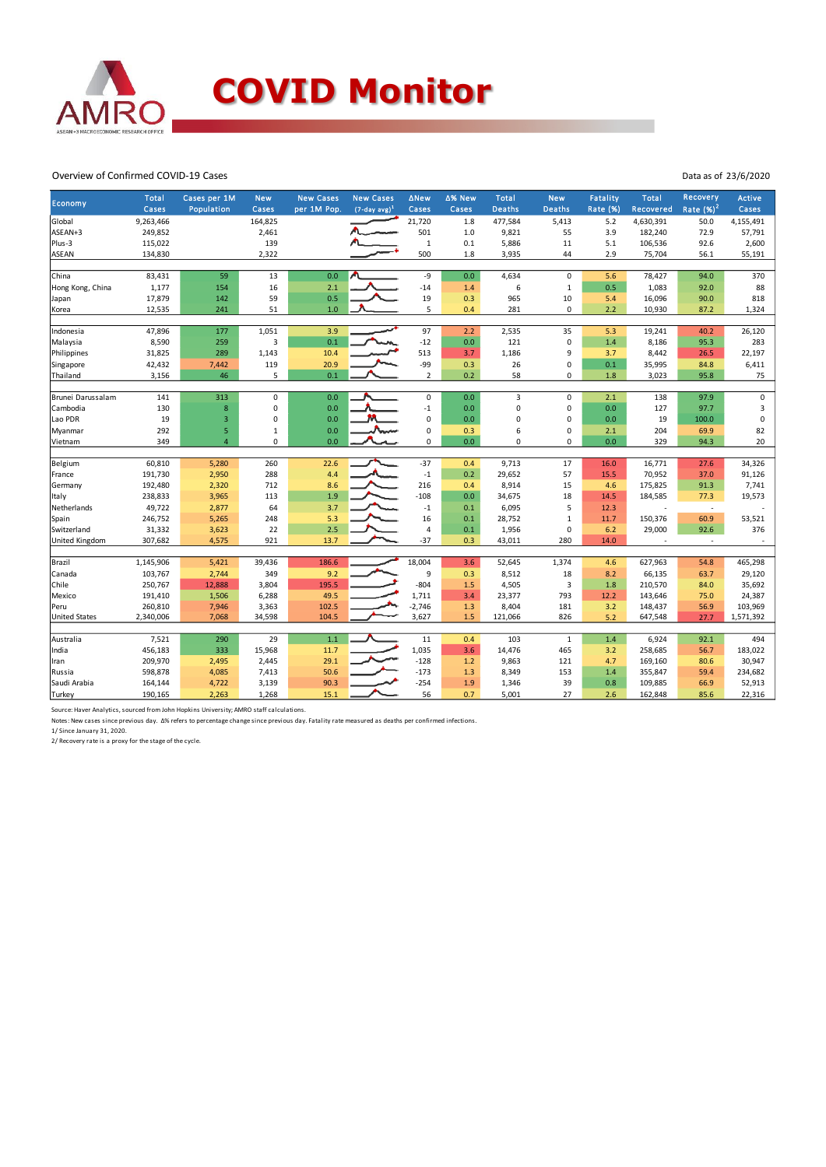

## Overview of Confirmed COVID-19 Cases

Data as of 23/6/2020

| Rate $(\%)^2$<br><b>Deaths</b><br>Cases<br>Population<br>per 1M Pop.<br>$(7-day avg)^1$<br>Cases<br>Cases<br><b>Deaths</b><br>Rate (%)<br>Cases<br>Recovered<br>Cases<br>9,263,466<br>21,720<br>Global<br>164,825<br>1.8<br>477,584<br>5,413<br>5.2<br>4,630,391<br>50.0<br>4,155,491<br>501<br>55<br>ASEAN+3<br>249,852<br>2,461<br>1.0<br>9,821<br>3.9<br>182,240<br>72.9<br>57,791<br>Plus-3<br>115,022<br>139<br>$\mathbf 1$<br>0.1<br>5,886<br>11<br>106,536<br>92.6<br>2,600<br>5.1<br>500<br>2.9<br>ASEAN<br>134,830<br>2,322<br>1.8<br>44<br>75,704<br>55,191<br>3,935<br>56.1<br>83,431<br>-9<br>59<br>13<br>0.0<br>0.0<br>4,634<br>$\mathbf 0$<br>78,427<br>94.0<br>370<br>China<br>5.6<br>1,177<br>16<br>$-14$<br>6<br>$\mathbf 1$<br>0.5<br>1,083<br>88<br>Hong Kong, China<br>154<br>2.1<br>1.4<br>92.0<br>59<br>0.5<br>19<br>818<br>17,879<br>142<br>0.3<br>965<br>10<br>5.4<br>16,096<br>90.0<br>Japan<br>5<br>51<br>1.0<br>$\pmb{0}$<br>2.2<br>12,535<br>241<br>0.4<br>10,930<br>1,324<br>Korea<br>281<br>87.2<br>97<br>47,896<br>177<br>1,051<br>3.9<br>2.2<br>2,535<br>35<br>5.3<br>19,241<br>26,120<br>Indonesia<br>40.2<br>3<br>0.1<br>$\mathbf 0$<br>8,590<br>$-12$<br>0.0<br>121<br>1.4<br>8,186<br>95.3<br>283<br>Malaysia<br>259<br>513<br>9<br>31,825<br>289<br>1,143<br>10.4<br>3.7<br>8,442<br>26.5<br>22,197<br>Philippines<br>1,186<br>3.7<br>-99<br>42,432<br>20.9<br>0<br>7,442<br>119<br>0.3<br>26<br>0.1<br>35,995<br>84.8<br>6,411<br>Singapore<br>5<br>0.2<br>3,156<br>46<br>0.1<br>$\overline{2}$<br>58<br>$\mathbf 0$<br>1.8<br>95.8<br>75<br>Thailand<br>3,023<br>313<br>0.0<br>$\mathbf 0$<br>Brunei Darussalam<br>141<br>0<br>$\mathbf 0$<br>0.0<br>$\overline{3}$<br>$\mathbf 0$<br>2.1<br>138<br>97.9<br>0.0<br>$\pmb{0}$<br>Cambodia<br>130<br>8<br>0<br>$-1$<br>0.0<br>0<br>0.0<br>127<br>97.7<br>3<br>$\mathbf 0$<br>Lao PDR<br>19<br>$\mathbf{0}$<br>0.0<br>$\pmb{0}$<br>19<br>$\pmb{0}$<br>3<br>0.0<br>0<br>0.0<br>100.0<br>292<br>0.0<br>$\mathsf 0$<br>6<br>$\mathbf 0$<br>82<br>5<br>$\mathbf{1}$<br>0.3<br>204<br>69.9<br>Myanmar<br>2.1<br>349<br>0.0<br>0<br>0.0<br>20<br>$\overline{4}$<br>0<br>0<br>$\Omega$<br>0.0<br>329<br>94.3<br>Vietnam<br>60,810<br>5,280<br>260<br>22.6<br>$-37$<br>0.4<br>9,713<br>17<br>27.6<br>Belgium<br>16.0<br>16,771<br>34,326<br>191,730<br>2,950<br>4.4<br>$^{\rm -1}$<br>0.2<br>29,652<br>57<br>15.5<br>70,952<br>288<br>37.0<br>91,126<br>France<br>192,480<br>2,320<br>216<br>8,914<br>15<br>175,825<br>712<br>8.6<br>0.4<br>4.6<br>91.3<br>7,741<br>Germany<br>1.9<br>$-108$<br>238,833<br>3,965<br>113<br>0.0<br>34,675<br>18<br>184,585<br>19,573<br>Italy<br>14.5<br>77.3<br>5<br>49,722<br>64<br>3.7<br>$-1$<br>0.1<br>6,095<br>Netherlands<br>2,877<br>12.3<br>$\overline{\phantom{a}}$<br>16<br>246,752<br>5,265<br>248<br>5.3<br>28,752<br>$\mathbf{1}$<br>150,376<br>60.9<br>53,521<br>0.1<br>11.7<br>Spain<br>2.5<br>31,332<br>3,623<br>22<br>$\pmb{0}$<br>92.6<br>376<br>Switzerland<br>$\overline{4}$<br>0.1<br>1,956<br>29,000<br>6.2<br><b>United Kingdom</b><br>921<br>$-37$<br>280<br>307,682<br>4,575<br>13.7<br>0.3<br>43,011<br>14.0<br>ä,<br>$\sim$<br>18,004<br>1,145,906<br>5,421<br>186.6<br>52,645<br>1,374<br>465,298<br>Brazil<br>39,436<br>3.6<br>4.6<br>627,963<br>54.8<br>9.2<br>9<br>103,767<br>2,744<br>349<br>18<br>8.2<br>Canada<br>0.3<br>8,512<br>66,135<br>63.7<br>29,120<br>$\mathsf 3$<br>250,767<br>195.5<br>$-804$<br>Chile<br>12,888<br>3,804<br>1.5<br>4,505<br>1.8<br>210,570<br>35,692<br>84.0<br>6,288<br>49.5<br>23,377<br>793<br>143,646<br>24,387<br>Mexico<br>191,410<br>1,506<br>1,711<br>3.4<br>12.2<br>75.0<br>$-2,746$<br>56.9<br>260,810<br>7,946<br>3,363<br>102.5<br>1.3<br>8,404<br>181<br>3.2<br>148,437<br>103,969<br>Peru<br>104.5<br>3,627<br>1.5<br>826<br><b>United States</b><br>2,340,006<br>7,068<br>34,598<br>121,066<br>5.2<br>647,548<br>1,571,392<br>27.7<br>29<br>7,521<br>290<br>1.1<br>11<br>103<br>6,924<br>494<br>Australia<br>0.4<br>$\mathbf{1}$<br>1.4<br>92.1<br>1,035<br>456,183<br>333<br>15,968<br>11.7<br>3.6<br>14,476<br>465<br>258,685<br>183,022<br>India<br>3.2<br>56.7<br>209,970<br>$-128$<br>2,495<br>2,445<br>29.1<br>9,863<br>121<br>4.7<br>169,160<br>30,947<br>Iran<br>1.2<br>80.6<br>598,878<br>50.6<br>$-173$<br>153<br>1.4<br>355,847<br>234,682<br>Russia<br>4,085<br>7,413<br>1.3<br>8,349<br>59.4<br>$-254$<br>39<br>Saudi Arabia<br>164,144<br>4,722<br>3,139<br>90.3<br>1.9<br>0.8<br>109,885<br>66.9<br>52,913<br>1,346 | Economy | <b>Total</b> | Cases per 1M | <b>New</b> | <b>New Cases</b> | <b>New Cases</b> | <b>ANew</b> | ∆% New | <b>Total</b> | <b>New</b> | Fatality | <b>Total</b> | Recovery | Active |
|----------------------------------------------------------------------------------------------------------------------------------------------------------------------------------------------------------------------------------------------------------------------------------------------------------------------------------------------------------------------------------------------------------------------------------------------------------------------------------------------------------------------------------------------------------------------------------------------------------------------------------------------------------------------------------------------------------------------------------------------------------------------------------------------------------------------------------------------------------------------------------------------------------------------------------------------------------------------------------------------------------------------------------------------------------------------------------------------------------------------------------------------------------------------------------------------------------------------------------------------------------------------------------------------------------------------------------------------------------------------------------------------------------------------------------------------------------------------------------------------------------------------------------------------------------------------------------------------------------------------------------------------------------------------------------------------------------------------------------------------------------------------------------------------------------------------------------------------------------------------------------------------------------------------------------------------------------------------------------------------------------------------------------------------------------------------------------------------------------------------------------------------------------------------------------------------------------------------------------------------------------------------------------------------------------------------------------------------------------------------------------------------------------------------------------------------------------------------------------------------------------------------------------------------------------------------------------------------------------------------------------------------------------------------------------------------------------------------------------------------------------------------------------------------------------------------------------------------------------------------------------------------------------------------------------------------------------------------------------------------------------------------------------------------------------------------------------------------------------------------------------------------------------------------------------------------------------------------------------------------------------------------------------------------------------------------------------------------------------------------------------------------------------------------------------------------------------------------------------------------------------------------------------------------------------------------------------------------------------------------------------------------------------------------------------------------------------------------------------------------------------------------------------------------------------------------------------------------------------------------------------------------------------------------------------------------------------------------------------------------------------------------------------------------------------------------------------------------------------------------------------------------------------------------------------------------------------------------------------------------------------------------------------------------------------------------------------------------------------------------------------------------------------------------------------------------------------------------------------------------------------------------------|---------|--------------|--------------|------------|------------------|------------------|-------------|--------|--------------|------------|----------|--------------|----------|--------|
|                                                                                                                                                                                                                                                                                                                                                                                                                                                                                                                                                                                                                                                                                                                                                                                                                                                                                                                                                                                                                                                                                                                                                                                                                                                                                                                                                                                                                                                                                                                                                                                                                                                                                                                                                                                                                                                                                                                                                                                                                                                                                                                                                                                                                                                                                                                                                                                                                                                                                                                                                                                                                                                                                                                                                                                                                                                                                                                                                                                                                                                                                                                                                                                                                                                                                                                                                                                                                                                                                                                                                                                                                                                                                                                                                                                                                                                                                                                                                                                                                                                                                                                                                                                                                                                                                                                                                                                                                                                                                                                            |         |              |              |            |                  |                  |             |        |              |            |          |              |          |        |
|                                                                                                                                                                                                                                                                                                                                                                                                                                                                                                                                                                                                                                                                                                                                                                                                                                                                                                                                                                                                                                                                                                                                                                                                                                                                                                                                                                                                                                                                                                                                                                                                                                                                                                                                                                                                                                                                                                                                                                                                                                                                                                                                                                                                                                                                                                                                                                                                                                                                                                                                                                                                                                                                                                                                                                                                                                                                                                                                                                                                                                                                                                                                                                                                                                                                                                                                                                                                                                                                                                                                                                                                                                                                                                                                                                                                                                                                                                                                                                                                                                                                                                                                                                                                                                                                                                                                                                                                                                                                                                                            |         |              |              |            |                  |                  |             |        |              |            |          |              |          |        |
|                                                                                                                                                                                                                                                                                                                                                                                                                                                                                                                                                                                                                                                                                                                                                                                                                                                                                                                                                                                                                                                                                                                                                                                                                                                                                                                                                                                                                                                                                                                                                                                                                                                                                                                                                                                                                                                                                                                                                                                                                                                                                                                                                                                                                                                                                                                                                                                                                                                                                                                                                                                                                                                                                                                                                                                                                                                                                                                                                                                                                                                                                                                                                                                                                                                                                                                                                                                                                                                                                                                                                                                                                                                                                                                                                                                                                                                                                                                                                                                                                                                                                                                                                                                                                                                                                                                                                                                                                                                                                                                            |         |              |              |            |                  |                  |             |        |              |            |          |              |          |        |
|                                                                                                                                                                                                                                                                                                                                                                                                                                                                                                                                                                                                                                                                                                                                                                                                                                                                                                                                                                                                                                                                                                                                                                                                                                                                                                                                                                                                                                                                                                                                                                                                                                                                                                                                                                                                                                                                                                                                                                                                                                                                                                                                                                                                                                                                                                                                                                                                                                                                                                                                                                                                                                                                                                                                                                                                                                                                                                                                                                                                                                                                                                                                                                                                                                                                                                                                                                                                                                                                                                                                                                                                                                                                                                                                                                                                                                                                                                                                                                                                                                                                                                                                                                                                                                                                                                                                                                                                                                                                                                                            |         |              |              |            |                  |                  |             |        |              |            |          |              |          |        |
|                                                                                                                                                                                                                                                                                                                                                                                                                                                                                                                                                                                                                                                                                                                                                                                                                                                                                                                                                                                                                                                                                                                                                                                                                                                                                                                                                                                                                                                                                                                                                                                                                                                                                                                                                                                                                                                                                                                                                                                                                                                                                                                                                                                                                                                                                                                                                                                                                                                                                                                                                                                                                                                                                                                                                                                                                                                                                                                                                                                                                                                                                                                                                                                                                                                                                                                                                                                                                                                                                                                                                                                                                                                                                                                                                                                                                                                                                                                                                                                                                                                                                                                                                                                                                                                                                                                                                                                                                                                                                                                            |         |              |              |            |                  |                  |             |        |              |            |          |              |          |        |
|                                                                                                                                                                                                                                                                                                                                                                                                                                                                                                                                                                                                                                                                                                                                                                                                                                                                                                                                                                                                                                                                                                                                                                                                                                                                                                                                                                                                                                                                                                                                                                                                                                                                                                                                                                                                                                                                                                                                                                                                                                                                                                                                                                                                                                                                                                                                                                                                                                                                                                                                                                                                                                                                                                                                                                                                                                                                                                                                                                                                                                                                                                                                                                                                                                                                                                                                                                                                                                                                                                                                                                                                                                                                                                                                                                                                                                                                                                                                                                                                                                                                                                                                                                                                                                                                                                                                                                                                                                                                                                                            |         |              |              |            |                  |                  |             |        |              |            |          |              |          |        |
|                                                                                                                                                                                                                                                                                                                                                                                                                                                                                                                                                                                                                                                                                                                                                                                                                                                                                                                                                                                                                                                                                                                                                                                                                                                                                                                                                                                                                                                                                                                                                                                                                                                                                                                                                                                                                                                                                                                                                                                                                                                                                                                                                                                                                                                                                                                                                                                                                                                                                                                                                                                                                                                                                                                                                                                                                                                                                                                                                                                                                                                                                                                                                                                                                                                                                                                                                                                                                                                                                                                                                                                                                                                                                                                                                                                                                                                                                                                                                                                                                                                                                                                                                                                                                                                                                                                                                                                                                                                                                                                            |         |              |              |            |                  |                  |             |        |              |            |          |              |          |        |
|                                                                                                                                                                                                                                                                                                                                                                                                                                                                                                                                                                                                                                                                                                                                                                                                                                                                                                                                                                                                                                                                                                                                                                                                                                                                                                                                                                                                                                                                                                                                                                                                                                                                                                                                                                                                                                                                                                                                                                                                                                                                                                                                                                                                                                                                                                                                                                                                                                                                                                                                                                                                                                                                                                                                                                                                                                                                                                                                                                                                                                                                                                                                                                                                                                                                                                                                                                                                                                                                                                                                                                                                                                                                                                                                                                                                                                                                                                                                                                                                                                                                                                                                                                                                                                                                                                                                                                                                                                                                                                                            |         |              |              |            |                  |                  |             |        |              |            |          |              |          |        |
|                                                                                                                                                                                                                                                                                                                                                                                                                                                                                                                                                                                                                                                                                                                                                                                                                                                                                                                                                                                                                                                                                                                                                                                                                                                                                                                                                                                                                                                                                                                                                                                                                                                                                                                                                                                                                                                                                                                                                                                                                                                                                                                                                                                                                                                                                                                                                                                                                                                                                                                                                                                                                                                                                                                                                                                                                                                                                                                                                                                                                                                                                                                                                                                                                                                                                                                                                                                                                                                                                                                                                                                                                                                                                                                                                                                                                                                                                                                                                                                                                                                                                                                                                                                                                                                                                                                                                                                                                                                                                                                            |         |              |              |            |                  |                  |             |        |              |            |          |              |          |        |
|                                                                                                                                                                                                                                                                                                                                                                                                                                                                                                                                                                                                                                                                                                                                                                                                                                                                                                                                                                                                                                                                                                                                                                                                                                                                                                                                                                                                                                                                                                                                                                                                                                                                                                                                                                                                                                                                                                                                                                                                                                                                                                                                                                                                                                                                                                                                                                                                                                                                                                                                                                                                                                                                                                                                                                                                                                                                                                                                                                                                                                                                                                                                                                                                                                                                                                                                                                                                                                                                                                                                                                                                                                                                                                                                                                                                                                                                                                                                                                                                                                                                                                                                                                                                                                                                                                                                                                                                                                                                                                                            |         |              |              |            |                  |                  |             |        |              |            |          |              |          |        |
|                                                                                                                                                                                                                                                                                                                                                                                                                                                                                                                                                                                                                                                                                                                                                                                                                                                                                                                                                                                                                                                                                                                                                                                                                                                                                                                                                                                                                                                                                                                                                                                                                                                                                                                                                                                                                                                                                                                                                                                                                                                                                                                                                                                                                                                                                                                                                                                                                                                                                                                                                                                                                                                                                                                                                                                                                                                                                                                                                                                                                                                                                                                                                                                                                                                                                                                                                                                                                                                                                                                                                                                                                                                                                                                                                                                                                                                                                                                                                                                                                                                                                                                                                                                                                                                                                                                                                                                                                                                                                                                            |         |              |              |            |                  |                  |             |        |              |            |          |              |          |        |
|                                                                                                                                                                                                                                                                                                                                                                                                                                                                                                                                                                                                                                                                                                                                                                                                                                                                                                                                                                                                                                                                                                                                                                                                                                                                                                                                                                                                                                                                                                                                                                                                                                                                                                                                                                                                                                                                                                                                                                                                                                                                                                                                                                                                                                                                                                                                                                                                                                                                                                                                                                                                                                                                                                                                                                                                                                                                                                                                                                                                                                                                                                                                                                                                                                                                                                                                                                                                                                                                                                                                                                                                                                                                                                                                                                                                                                                                                                                                                                                                                                                                                                                                                                                                                                                                                                                                                                                                                                                                                                                            |         |              |              |            |                  |                  |             |        |              |            |          |              |          |        |
|                                                                                                                                                                                                                                                                                                                                                                                                                                                                                                                                                                                                                                                                                                                                                                                                                                                                                                                                                                                                                                                                                                                                                                                                                                                                                                                                                                                                                                                                                                                                                                                                                                                                                                                                                                                                                                                                                                                                                                                                                                                                                                                                                                                                                                                                                                                                                                                                                                                                                                                                                                                                                                                                                                                                                                                                                                                                                                                                                                                                                                                                                                                                                                                                                                                                                                                                                                                                                                                                                                                                                                                                                                                                                                                                                                                                                                                                                                                                                                                                                                                                                                                                                                                                                                                                                                                                                                                                                                                                                                                            |         |              |              |            |                  |                  |             |        |              |            |          |              |          |        |
|                                                                                                                                                                                                                                                                                                                                                                                                                                                                                                                                                                                                                                                                                                                                                                                                                                                                                                                                                                                                                                                                                                                                                                                                                                                                                                                                                                                                                                                                                                                                                                                                                                                                                                                                                                                                                                                                                                                                                                                                                                                                                                                                                                                                                                                                                                                                                                                                                                                                                                                                                                                                                                                                                                                                                                                                                                                                                                                                                                                                                                                                                                                                                                                                                                                                                                                                                                                                                                                                                                                                                                                                                                                                                                                                                                                                                                                                                                                                                                                                                                                                                                                                                                                                                                                                                                                                                                                                                                                                                                                            |         |              |              |            |                  |                  |             |        |              |            |          |              |          |        |
|                                                                                                                                                                                                                                                                                                                                                                                                                                                                                                                                                                                                                                                                                                                                                                                                                                                                                                                                                                                                                                                                                                                                                                                                                                                                                                                                                                                                                                                                                                                                                                                                                                                                                                                                                                                                                                                                                                                                                                                                                                                                                                                                                                                                                                                                                                                                                                                                                                                                                                                                                                                                                                                                                                                                                                                                                                                                                                                                                                                                                                                                                                                                                                                                                                                                                                                                                                                                                                                                                                                                                                                                                                                                                                                                                                                                                                                                                                                                                                                                                                                                                                                                                                                                                                                                                                                                                                                                                                                                                                                            |         |              |              |            |                  |                  |             |        |              |            |          |              |          |        |
|                                                                                                                                                                                                                                                                                                                                                                                                                                                                                                                                                                                                                                                                                                                                                                                                                                                                                                                                                                                                                                                                                                                                                                                                                                                                                                                                                                                                                                                                                                                                                                                                                                                                                                                                                                                                                                                                                                                                                                                                                                                                                                                                                                                                                                                                                                                                                                                                                                                                                                                                                                                                                                                                                                                                                                                                                                                                                                                                                                                                                                                                                                                                                                                                                                                                                                                                                                                                                                                                                                                                                                                                                                                                                                                                                                                                                                                                                                                                                                                                                                                                                                                                                                                                                                                                                                                                                                                                                                                                                                                            |         |              |              |            |                  |                  |             |        |              |            |          |              |          |        |
|                                                                                                                                                                                                                                                                                                                                                                                                                                                                                                                                                                                                                                                                                                                                                                                                                                                                                                                                                                                                                                                                                                                                                                                                                                                                                                                                                                                                                                                                                                                                                                                                                                                                                                                                                                                                                                                                                                                                                                                                                                                                                                                                                                                                                                                                                                                                                                                                                                                                                                                                                                                                                                                                                                                                                                                                                                                                                                                                                                                                                                                                                                                                                                                                                                                                                                                                                                                                                                                                                                                                                                                                                                                                                                                                                                                                                                                                                                                                                                                                                                                                                                                                                                                                                                                                                                                                                                                                                                                                                                                            |         |              |              |            |                  |                  |             |        |              |            |          |              |          |        |
|                                                                                                                                                                                                                                                                                                                                                                                                                                                                                                                                                                                                                                                                                                                                                                                                                                                                                                                                                                                                                                                                                                                                                                                                                                                                                                                                                                                                                                                                                                                                                                                                                                                                                                                                                                                                                                                                                                                                                                                                                                                                                                                                                                                                                                                                                                                                                                                                                                                                                                                                                                                                                                                                                                                                                                                                                                                                                                                                                                                                                                                                                                                                                                                                                                                                                                                                                                                                                                                                                                                                                                                                                                                                                                                                                                                                                                                                                                                                                                                                                                                                                                                                                                                                                                                                                                                                                                                                                                                                                                                            |         |              |              |            |                  |                  |             |        |              |            |          |              |          |        |
|                                                                                                                                                                                                                                                                                                                                                                                                                                                                                                                                                                                                                                                                                                                                                                                                                                                                                                                                                                                                                                                                                                                                                                                                                                                                                                                                                                                                                                                                                                                                                                                                                                                                                                                                                                                                                                                                                                                                                                                                                                                                                                                                                                                                                                                                                                                                                                                                                                                                                                                                                                                                                                                                                                                                                                                                                                                                                                                                                                                                                                                                                                                                                                                                                                                                                                                                                                                                                                                                                                                                                                                                                                                                                                                                                                                                                                                                                                                                                                                                                                                                                                                                                                                                                                                                                                                                                                                                                                                                                                                            |         |              |              |            |                  |                  |             |        |              |            |          |              |          |        |
|                                                                                                                                                                                                                                                                                                                                                                                                                                                                                                                                                                                                                                                                                                                                                                                                                                                                                                                                                                                                                                                                                                                                                                                                                                                                                                                                                                                                                                                                                                                                                                                                                                                                                                                                                                                                                                                                                                                                                                                                                                                                                                                                                                                                                                                                                                                                                                                                                                                                                                                                                                                                                                                                                                                                                                                                                                                                                                                                                                                                                                                                                                                                                                                                                                                                                                                                                                                                                                                                                                                                                                                                                                                                                                                                                                                                                                                                                                                                                                                                                                                                                                                                                                                                                                                                                                                                                                                                                                                                                                                            |         |              |              |            |                  |                  |             |        |              |            |          |              |          |        |
|                                                                                                                                                                                                                                                                                                                                                                                                                                                                                                                                                                                                                                                                                                                                                                                                                                                                                                                                                                                                                                                                                                                                                                                                                                                                                                                                                                                                                                                                                                                                                                                                                                                                                                                                                                                                                                                                                                                                                                                                                                                                                                                                                                                                                                                                                                                                                                                                                                                                                                                                                                                                                                                                                                                                                                                                                                                                                                                                                                                                                                                                                                                                                                                                                                                                                                                                                                                                                                                                                                                                                                                                                                                                                                                                                                                                                                                                                                                                                                                                                                                                                                                                                                                                                                                                                                                                                                                                                                                                                                                            |         |              |              |            |                  |                  |             |        |              |            |          |              |          |        |
|                                                                                                                                                                                                                                                                                                                                                                                                                                                                                                                                                                                                                                                                                                                                                                                                                                                                                                                                                                                                                                                                                                                                                                                                                                                                                                                                                                                                                                                                                                                                                                                                                                                                                                                                                                                                                                                                                                                                                                                                                                                                                                                                                                                                                                                                                                                                                                                                                                                                                                                                                                                                                                                                                                                                                                                                                                                                                                                                                                                                                                                                                                                                                                                                                                                                                                                                                                                                                                                                                                                                                                                                                                                                                                                                                                                                                                                                                                                                                                                                                                                                                                                                                                                                                                                                                                                                                                                                                                                                                                                            |         |              |              |            |                  |                  |             |        |              |            |          |              |          |        |
|                                                                                                                                                                                                                                                                                                                                                                                                                                                                                                                                                                                                                                                                                                                                                                                                                                                                                                                                                                                                                                                                                                                                                                                                                                                                                                                                                                                                                                                                                                                                                                                                                                                                                                                                                                                                                                                                                                                                                                                                                                                                                                                                                                                                                                                                                                                                                                                                                                                                                                                                                                                                                                                                                                                                                                                                                                                                                                                                                                                                                                                                                                                                                                                                                                                                                                                                                                                                                                                                                                                                                                                                                                                                                                                                                                                                                                                                                                                                                                                                                                                                                                                                                                                                                                                                                                                                                                                                                                                                                                                            |         |              |              |            |                  |                  |             |        |              |            |          |              |          |        |
|                                                                                                                                                                                                                                                                                                                                                                                                                                                                                                                                                                                                                                                                                                                                                                                                                                                                                                                                                                                                                                                                                                                                                                                                                                                                                                                                                                                                                                                                                                                                                                                                                                                                                                                                                                                                                                                                                                                                                                                                                                                                                                                                                                                                                                                                                                                                                                                                                                                                                                                                                                                                                                                                                                                                                                                                                                                                                                                                                                                                                                                                                                                                                                                                                                                                                                                                                                                                                                                                                                                                                                                                                                                                                                                                                                                                                                                                                                                                                                                                                                                                                                                                                                                                                                                                                                                                                                                                                                                                                                                            |         |              |              |            |                  |                  |             |        |              |            |          |              |          |        |
|                                                                                                                                                                                                                                                                                                                                                                                                                                                                                                                                                                                                                                                                                                                                                                                                                                                                                                                                                                                                                                                                                                                                                                                                                                                                                                                                                                                                                                                                                                                                                                                                                                                                                                                                                                                                                                                                                                                                                                                                                                                                                                                                                                                                                                                                                                                                                                                                                                                                                                                                                                                                                                                                                                                                                                                                                                                                                                                                                                                                                                                                                                                                                                                                                                                                                                                                                                                                                                                                                                                                                                                                                                                                                                                                                                                                                                                                                                                                                                                                                                                                                                                                                                                                                                                                                                                                                                                                                                                                                                                            |         |              |              |            |                  |                  |             |        |              |            |          |              |          |        |
|                                                                                                                                                                                                                                                                                                                                                                                                                                                                                                                                                                                                                                                                                                                                                                                                                                                                                                                                                                                                                                                                                                                                                                                                                                                                                                                                                                                                                                                                                                                                                                                                                                                                                                                                                                                                                                                                                                                                                                                                                                                                                                                                                                                                                                                                                                                                                                                                                                                                                                                                                                                                                                                                                                                                                                                                                                                                                                                                                                                                                                                                                                                                                                                                                                                                                                                                                                                                                                                                                                                                                                                                                                                                                                                                                                                                                                                                                                                                                                                                                                                                                                                                                                                                                                                                                                                                                                                                                                                                                                                            |         |              |              |            |                  |                  |             |        |              |            |          |              |          |        |
|                                                                                                                                                                                                                                                                                                                                                                                                                                                                                                                                                                                                                                                                                                                                                                                                                                                                                                                                                                                                                                                                                                                                                                                                                                                                                                                                                                                                                                                                                                                                                                                                                                                                                                                                                                                                                                                                                                                                                                                                                                                                                                                                                                                                                                                                                                                                                                                                                                                                                                                                                                                                                                                                                                                                                                                                                                                                                                                                                                                                                                                                                                                                                                                                                                                                                                                                                                                                                                                                                                                                                                                                                                                                                                                                                                                                                                                                                                                                                                                                                                                                                                                                                                                                                                                                                                                                                                                                                                                                                                                            |         |              |              |            |                  |                  |             |        |              |            |          |              |          |        |
|                                                                                                                                                                                                                                                                                                                                                                                                                                                                                                                                                                                                                                                                                                                                                                                                                                                                                                                                                                                                                                                                                                                                                                                                                                                                                                                                                                                                                                                                                                                                                                                                                                                                                                                                                                                                                                                                                                                                                                                                                                                                                                                                                                                                                                                                                                                                                                                                                                                                                                                                                                                                                                                                                                                                                                                                                                                                                                                                                                                                                                                                                                                                                                                                                                                                                                                                                                                                                                                                                                                                                                                                                                                                                                                                                                                                                                                                                                                                                                                                                                                                                                                                                                                                                                                                                                                                                                                                                                                                                                                            |         |              |              |            |                  |                  |             |        |              |            |          |              |          |        |
|                                                                                                                                                                                                                                                                                                                                                                                                                                                                                                                                                                                                                                                                                                                                                                                                                                                                                                                                                                                                                                                                                                                                                                                                                                                                                                                                                                                                                                                                                                                                                                                                                                                                                                                                                                                                                                                                                                                                                                                                                                                                                                                                                                                                                                                                                                                                                                                                                                                                                                                                                                                                                                                                                                                                                                                                                                                                                                                                                                                                                                                                                                                                                                                                                                                                                                                                                                                                                                                                                                                                                                                                                                                                                                                                                                                                                                                                                                                                                                                                                                                                                                                                                                                                                                                                                                                                                                                                                                                                                                                            |         |              |              |            |                  |                  |             |        |              |            |          |              |          |        |
|                                                                                                                                                                                                                                                                                                                                                                                                                                                                                                                                                                                                                                                                                                                                                                                                                                                                                                                                                                                                                                                                                                                                                                                                                                                                                                                                                                                                                                                                                                                                                                                                                                                                                                                                                                                                                                                                                                                                                                                                                                                                                                                                                                                                                                                                                                                                                                                                                                                                                                                                                                                                                                                                                                                                                                                                                                                                                                                                                                                                                                                                                                                                                                                                                                                                                                                                                                                                                                                                                                                                                                                                                                                                                                                                                                                                                                                                                                                                                                                                                                                                                                                                                                                                                                                                                                                                                                                                                                                                                                                            |         |              |              |            |                  |                  |             |        |              |            |          |              |          |        |
|                                                                                                                                                                                                                                                                                                                                                                                                                                                                                                                                                                                                                                                                                                                                                                                                                                                                                                                                                                                                                                                                                                                                                                                                                                                                                                                                                                                                                                                                                                                                                                                                                                                                                                                                                                                                                                                                                                                                                                                                                                                                                                                                                                                                                                                                                                                                                                                                                                                                                                                                                                                                                                                                                                                                                                                                                                                                                                                                                                                                                                                                                                                                                                                                                                                                                                                                                                                                                                                                                                                                                                                                                                                                                                                                                                                                                                                                                                                                                                                                                                                                                                                                                                                                                                                                                                                                                                                                                                                                                                                            |         |              |              |            |                  |                  |             |        |              |            |          |              |          |        |
|                                                                                                                                                                                                                                                                                                                                                                                                                                                                                                                                                                                                                                                                                                                                                                                                                                                                                                                                                                                                                                                                                                                                                                                                                                                                                                                                                                                                                                                                                                                                                                                                                                                                                                                                                                                                                                                                                                                                                                                                                                                                                                                                                                                                                                                                                                                                                                                                                                                                                                                                                                                                                                                                                                                                                                                                                                                                                                                                                                                                                                                                                                                                                                                                                                                                                                                                                                                                                                                                                                                                                                                                                                                                                                                                                                                                                                                                                                                                                                                                                                                                                                                                                                                                                                                                                                                                                                                                                                                                                                                            |         |              |              |            |                  |                  |             |        |              |            |          |              |          |        |
|                                                                                                                                                                                                                                                                                                                                                                                                                                                                                                                                                                                                                                                                                                                                                                                                                                                                                                                                                                                                                                                                                                                                                                                                                                                                                                                                                                                                                                                                                                                                                                                                                                                                                                                                                                                                                                                                                                                                                                                                                                                                                                                                                                                                                                                                                                                                                                                                                                                                                                                                                                                                                                                                                                                                                                                                                                                                                                                                                                                                                                                                                                                                                                                                                                                                                                                                                                                                                                                                                                                                                                                                                                                                                                                                                                                                                                                                                                                                                                                                                                                                                                                                                                                                                                                                                                                                                                                                                                                                                                                            |         |              |              |            |                  |                  |             |        |              |            |          |              |          |        |
|                                                                                                                                                                                                                                                                                                                                                                                                                                                                                                                                                                                                                                                                                                                                                                                                                                                                                                                                                                                                                                                                                                                                                                                                                                                                                                                                                                                                                                                                                                                                                                                                                                                                                                                                                                                                                                                                                                                                                                                                                                                                                                                                                                                                                                                                                                                                                                                                                                                                                                                                                                                                                                                                                                                                                                                                                                                                                                                                                                                                                                                                                                                                                                                                                                                                                                                                                                                                                                                                                                                                                                                                                                                                                                                                                                                                                                                                                                                                                                                                                                                                                                                                                                                                                                                                                                                                                                                                                                                                                                                            |         |              |              |            |                  |                  |             |        |              |            |          |              |          |        |
|                                                                                                                                                                                                                                                                                                                                                                                                                                                                                                                                                                                                                                                                                                                                                                                                                                                                                                                                                                                                                                                                                                                                                                                                                                                                                                                                                                                                                                                                                                                                                                                                                                                                                                                                                                                                                                                                                                                                                                                                                                                                                                                                                                                                                                                                                                                                                                                                                                                                                                                                                                                                                                                                                                                                                                                                                                                                                                                                                                                                                                                                                                                                                                                                                                                                                                                                                                                                                                                                                                                                                                                                                                                                                                                                                                                                                                                                                                                                                                                                                                                                                                                                                                                                                                                                                                                                                                                                                                                                                                                            |         |              |              |            |                  |                  |             |        |              |            |          |              |          |        |
|                                                                                                                                                                                                                                                                                                                                                                                                                                                                                                                                                                                                                                                                                                                                                                                                                                                                                                                                                                                                                                                                                                                                                                                                                                                                                                                                                                                                                                                                                                                                                                                                                                                                                                                                                                                                                                                                                                                                                                                                                                                                                                                                                                                                                                                                                                                                                                                                                                                                                                                                                                                                                                                                                                                                                                                                                                                                                                                                                                                                                                                                                                                                                                                                                                                                                                                                                                                                                                                                                                                                                                                                                                                                                                                                                                                                                                                                                                                                                                                                                                                                                                                                                                                                                                                                                                                                                                                                                                                                                                                            |         |              |              |            |                  |                  |             |        |              |            |          |              |          |        |
|                                                                                                                                                                                                                                                                                                                                                                                                                                                                                                                                                                                                                                                                                                                                                                                                                                                                                                                                                                                                                                                                                                                                                                                                                                                                                                                                                                                                                                                                                                                                                                                                                                                                                                                                                                                                                                                                                                                                                                                                                                                                                                                                                                                                                                                                                                                                                                                                                                                                                                                                                                                                                                                                                                                                                                                                                                                                                                                                                                                                                                                                                                                                                                                                                                                                                                                                                                                                                                                                                                                                                                                                                                                                                                                                                                                                                                                                                                                                                                                                                                                                                                                                                                                                                                                                                                                                                                                                                                                                                                                            |         |              |              |            |                  |                  |             |        |              |            |          |              |          |        |
|                                                                                                                                                                                                                                                                                                                                                                                                                                                                                                                                                                                                                                                                                                                                                                                                                                                                                                                                                                                                                                                                                                                                                                                                                                                                                                                                                                                                                                                                                                                                                                                                                                                                                                                                                                                                                                                                                                                                                                                                                                                                                                                                                                                                                                                                                                                                                                                                                                                                                                                                                                                                                                                                                                                                                                                                                                                                                                                                                                                                                                                                                                                                                                                                                                                                                                                                                                                                                                                                                                                                                                                                                                                                                                                                                                                                                                                                                                                                                                                                                                                                                                                                                                                                                                                                                                                                                                                                                                                                                                                            |         |              |              |            |                  |                  |             |        |              |            |          |              |          |        |
|                                                                                                                                                                                                                                                                                                                                                                                                                                                                                                                                                                                                                                                                                                                                                                                                                                                                                                                                                                                                                                                                                                                                                                                                                                                                                                                                                                                                                                                                                                                                                                                                                                                                                                                                                                                                                                                                                                                                                                                                                                                                                                                                                                                                                                                                                                                                                                                                                                                                                                                                                                                                                                                                                                                                                                                                                                                                                                                                                                                                                                                                                                                                                                                                                                                                                                                                                                                                                                                                                                                                                                                                                                                                                                                                                                                                                                                                                                                                                                                                                                                                                                                                                                                                                                                                                                                                                                                                                                                                                                                            |         |              |              |            |                  |                  |             |        |              |            |          |              |          |        |
|                                                                                                                                                                                                                                                                                                                                                                                                                                                                                                                                                                                                                                                                                                                                                                                                                                                                                                                                                                                                                                                                                                                                                                                                                                                                                                                                                                                                                                                                                                                                                                                                                                                                                                                                                                                                                                                                                                                                                                                                                                                                                                                                                                                                                                                                                                                                                                                                                                                                                                                                                                                                                                                                                                                                                                                                                                                                                                                                                                                                                                                                                                                                                                                                                                                                                                                                                                                                                                                                                                                                                                                                                                                                                                                                                                                                                                                                                                                                                                                                                                                                                                                                                                                                                                                                                                                                                                                                                                                                                                                            |         |              |              |            |                  |                  |             |        |              |            |          |              |          |        |
|                                                                                                                                                                                                                                                                                                                                                                                                                                                                                                                                                                                                                                                                                                                                                                                                                                                                                                                                                                                                                                                                                                                                                                                                                                                                                                                                                                                                                                                                                                                                                                                                                                                                                                                                                                                                                                                                                                                                                                                                                                                                                                                                                                                                                                                                                                                                                                                                                                                                                                                                                                                                                                                                                                                                                                                                                                                                                                                                                                                                                                                                                                                                                                                                                                                                                                                                                                                                                                                                                                                                                                                                                                                                                                                                                                                                                                                                                                                                                                                                                                                                                                                                                                                                                                                                                                                                                                                                                                                                                                                            |         |              |              |            |                  |                  |             |        |              |            |          |              |          |        |
|                                                                                                                                                                                                                                                                                                                                                                                                                                                                                                                                                                                                                                                                                                                                                                                                                                                                                                                                                                                                                                                                                                                                                                                                                                                                                                                                                                                                                                                                                                                                                                                                                                                                                                                                                                                                                                                                                                                                                                                                                                                                                                                                                                                                                                                                                                                                                                                                                                                                                                                                                                                                                                                                                                                                                                                                                                                                                                                                                                                                                                                                                                                                                                                                                                                                                                                                                                                                                                                                                                                                                                                                                                                                                                                                                                                                                                                                                                                                                                                                                                                                                                                                                                                                                                                                                                                                                                                                                                                                                                                            |         |              |              |            |                  |                  |             |        |              |            |          |              |          |        |
|                                                                                                                                                                                                                                                                                                                                                                                                                                                                                                                                                                                                                                                                                                                                                                                                                                                                                                                                                                                                                                                                                                                                                                                                                                                                                                                                                                                                                                                                                                                                                                                                                                                                                                                                                                                                                                                                                                                                                                                                                                                                                                                                                                                                                                                                                                                                                                                                                                                                                                                                                                                                                                                                                                                                                                                                                                                                                                                                                                                                                                                                                                                                                                                                                                                                                                                                                                                                                                                                                                                                                                                                                                                                                                                                                                                                                                                                                                                                                                                                                                                                                                                                                                                                                                                                                                                                                                                                                                                                                                                            |         |              |              |            |                  |                  |             |        |              |            |          |              |          |        |
|                                                                                                                                                                                                                                                                                                                                                                                                                                                                                                                                                                                                                                                                                                                                                                                                                                                                                                                                                                                                                                                                                                                                                                                                                                                                                                                                                                                                                                                                                                                                                                                                                                                                                                                                                                                                                                                                                                                                                                                                                                                                                                                                                                                                                                                                                                                                                                                                                                                                                                                                                                                                                                                                                                                                                                                                                                                                                                                                                                                                                                                                                                                                                                                                                                                                                                                                                                                                                                                                                                                                                                                                                                                                                                                                                                                                                                                                                                                                                                                                                                                                                                                                                                                                                                                                                                                                                                                                                                                                                                                            |         |              |              |            |                  |                  |             |        |              |            |          |              |          |        |
|                                                                                                                                                                                                                                                                                                                                                                                                                                                                                                                                                                                                                                                                                                                                                                                                                                                                                                                                                                                                                                                                                                                                                                                                                                                                                                                                                                                                                                                                                                                                                                                                                                                                                                                                                                                                                                                                                                                                                                                                                                                                                                                                                                                                                                                                                                                                                                                                                                                                                                                                                                                                                                                                                                                                                                                                                                                                                                                                                                                                                                                                                                                                                                                                                                                                                                                                                                                                                                                                                                                                                                                                                                                                                                                                                                                                                                                                                                                                                                                                                                                                                                                                                                                                                                                                                                                                                                                                                                                                                                                            | Turkey  | 190,165      | 2,263        | 1,268      | 15.1             |                  | 56          | 0.7    | 5,001        | 27         | 2.6      | 162,848      | 85.6     | 22,316 |

Source: Haver Analytics, sourced from John Hopkins University; AMRO staff calculations.

Notes: New cases since previous day. Δ% refers to percentage change since previous day. Fatality rate measured as deaths per confirmed infections.

1/ Since January 31, 2020. 2/ Recovery rate is a proxy for the stage of the cycle.